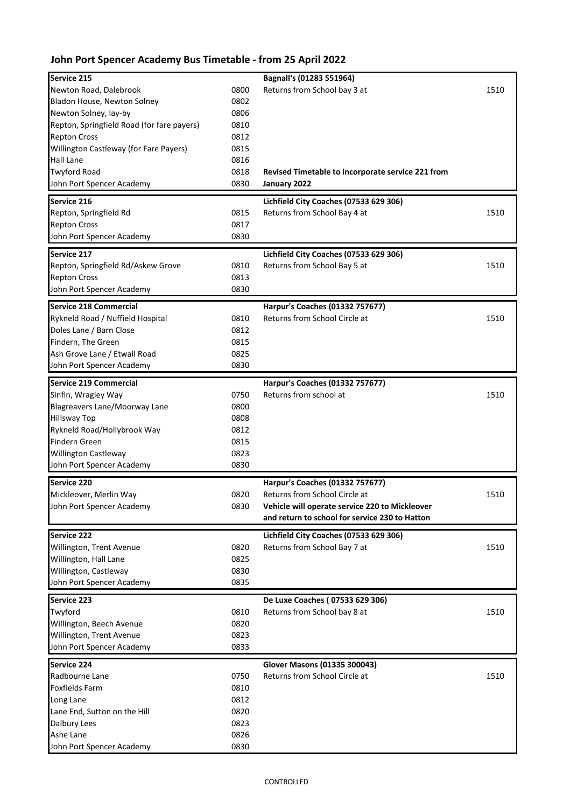## **John Port Spencer Academy Bus Timetable - from 25 April 2022**

| Service 215                                          |              | Bagnall's (01283 551964)                                                        |      |
|------------------------------------------------------|--------------|---------------------------------------------------------------------------------|------|
| Newton Road, Dalebrook                               | 0800         | Returns from School bay 3 at                                                    | 1510 |
| Bladon House, Newton Solney                          | 0802         |                                                                                 |      |
| Newton Solney, lay-by                                | 0806         |                                                                                 |      |
| Repton, Springfield Road (for fare payers)           | 0810         |                                                                                 |      |
| <b>Repton Cross</b>                                  | 0812         |                                                                                 |      |
| Willington Castleway (for Fare Payers)               | 0815         |                                                                                 |      |
| Hall Lane                                            | 0816         |                                                                                 |      |
| <b>Twyford Road</b>                                  | 0818         | Revised Timetable to incorporate service 221 from                               |      |
| John Port Spencer Academy                            | 0830         | January 2022                                                                    |      |
| Service 216                                          |              | Lichfield City Coaches (07533 629 306)                                          |      |
| Repton, Springfield Rd                               | 0815         | Returns from School Bay 4 at                                                    | 1510 |
| <b>Repton Cross</b>                                  | 0817         |                                                                                 |      |
| John Port Spencer Academy                            | 0830         |                                                                                 |      |
| Service 217                                          |              | Lichfield City Coaches (07533 629 306)                                          |      |
| Repton, Springfield Rd/Askew Grove                   | 0810         | Returns from School Bay 5 at                                                    | 1510 |
| <b>Repton Cross</b>                                  | 0813         |                                                                                 |      |
| John Port Spencer Academy                            | 0830         |                                                                                 |      |
| <b>Service 218 Commercial</b>                        |              | Harpur's Coaches (01332 757677)                                                 |      |
| Rykneld Road / Nuffield Hospital                     | 0810         | Returns from School Circle at                                                   | 1510 |
| Doles Lane / Barn Close                              | 0812         |                                                                                 |      |
| Findern, The Green                                   | 0815         |                                                                                 |      |
| Ash Grove Lane / Etwall Road                         | 0825         |                                                                                 |      |
| John Port Spencer Academy                            | 0830         |                                                                                 |      |
|                                                      |              |                                                                                 |      |
| <b>Service 219 Commercial</b>                        |              | Harpur's Coaches (01332 757677)                                                 |      |
| Sinfin, Wragley Way<br>Blagreavers Lane/Moorway Lane | 0750<br>0800 | Returns from school at                                                          | 1510 |
| <b>Hillsway Top</b>                                  | 0808         |                                                                                 |      |
| Rykneld Road/Hollybrook Way                          | 0812         |                                                                                 |      |
| Findern Green                                        | 0815         |                                                                                 |      |
| Willington Castleway                                 | 0823         |                                                                                 |      |
| John Port Spencer Academy                            | 0830         |                                                                                 |      |
|                                                      |              |                                                                                 |      |
| <b>Service 220</b>                                   |              | Harpur's Coaches (01332 757677)                                                 |      |
| Mickleover, Merlin Way                               | 0820         | Returns from School Circle at<br>Vehicle will operate service 220 to Mickleover | 1510 |
| John Port Spencer Academy                            | 0830         | and return to school for service 230 to Hatton                                  |      |
|                                                      |              |                                                                                 |      |
| Service 222                                          |              | Lichfield City Coaches (07533 629 306)                                          |      |
| Willington, Trent Avenue                             | 0820         | Returns from School Bay 7 at                                                    | 1510 |
| Willington, Hall Lane                                | 0825         |                                                                                 |      |
| Willington, Castleway<br>John Port Spencer Academy   | 0830<br>0835 |                                                                                 |      |
|                                                      |              |                                                                                 |      |
| Service 223                                          |              | De Luxe Coaches (07533 629 306)                                                 |      |
| Twyford                                              | 0810         | Returns from School bay 8 at                                                    | 1510 |
| Willington, Beech Avenue                             | 0820         |                                                                                 |      |
| Willington, Trent Avenue                             | 0823         |                                                                                 |      |
| John Port Spencer Academy                            | 0833         |                                                                                 |      |
| Service 224                                          |              | Glover Masons (01335 300043)                                                    |      |
| Radbourne Lane                                       | 0750         | Returns from School Circle at                                                   | 1510 |
| <b>Foxfields Farm</b>                                | 0810         |                                                                                 |      |
| Long Lane                                            | 0812         |                                                                                 |      |
| Lane End, Sutton on the Hill                         | 0820         |                                                                                 |      |
| Dalbury Lees                                         | 0823         |                                                                                 |      |
| Ashe Lane                                            | 0826         |                                                                                 |      |
| John Port Spencer Academy                            | 0830         |                                                                                 |      |